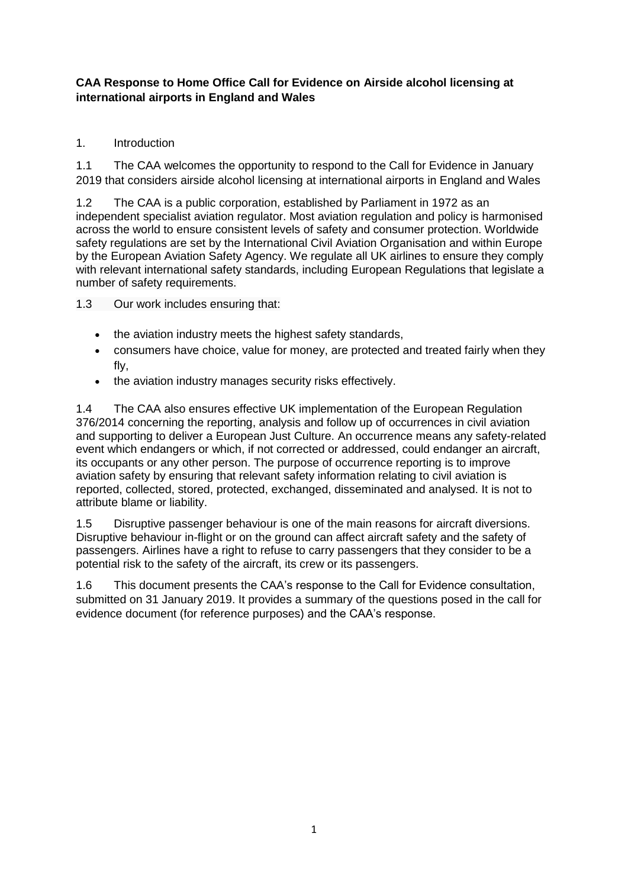# **CAA Response to Home Office Call for Evidence on Airside alcohol licensing at international airports in England and Wales**

# 1. Introduction

1.1 The CAA welcomes the opportunity to respond to the Call for Evidence in January 2019 that considers airside alcohol licensing at international airports in England and Wales

1.2 The CAA is a public corporation, established by Parliament in 1972 as an independent specialist aviation regulator. Most aviation regulation and policy is harmonised across the world to ensure consistent levels of safety and consumer protection. Worldwide safety regulations are set by the International Civil Aviation Organisation and within Europe by the European Aviation Safety Agency. We regulate all UK airlines to ensure they comply with relevant international safety standards, including European Regulations that legislate a number of safety requirements.

1.3 Our work includes ensuring that:

- the aviation industry meets the highest safety standards,
- consumers have choice, value for money, are protected and treated fairly when they fly,
- the aviation industry manages security risks effectively.

1.4 The CAA also ensures effective UK implementation of the European Regulation 376/2014 concerning the reporting, analysis and follow up of occurrences in civil aviation and supporting to deliver a European Just Culture. An occurrence means any safety-related event which endangers or which, if not corrected or addressed, could endanger an aircraft, its occupants or any other person. The purpose of occurrence reporting is to improve aviation safety by ensuring that relevant safety information relating to civil aviation is reported, collected, stored, protected, exchanged, disseminated and analysed. It is not to attribute blame or liability.

1.5 Disruptive passenger behaviour is one of the main reasons for aircraft diversions. Disruptive behaviour in-flight or on the ground can affect aircraft safety and the safety of passengers. Airlines have a right to refuse to carry passengers that they consider to be a potential risk to the safety of the aircraft, its crew or its passengers.

1.6 This document presents the CAA's response to the Call for Evidence consultation, submitted on 31 January 2019. It provides a summary of the questions posed in the call for evidence document (for reference purposes) and the CAA's response.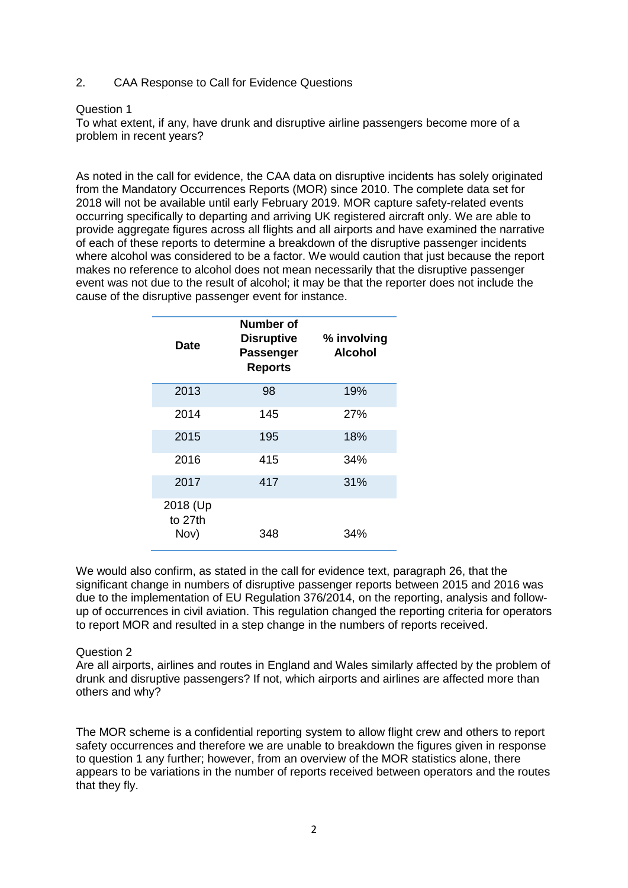2. CAA Response to Call for Evidence Questions

## Question 1

To what extent, if any, have drunk and disruptive airline passengers become more of a problem in recent years?

As noted in the call for evidence, the CAA data on disruptive incidents has solely originated from the Mandatory Occurrences Reports (MOR) since 2010. The complete data set for 2018 will not be available until early February 2019. MOR capture safety-related events occurring specifically to departing and arriving UK registered aircraft only. We are able to provide aggregate figures across all flights and all airports and have examined the narrative of each of these reports to determine a breakdown of the disruptive passenger incidents where alcohol was considered to be a factor. We would caution that just because the report makes no reference to alcohol does not mean necessarily that the disruptive passenger event was not due to the result of alcohol; it may be that the reporter does not include the cause of the disruptive passenger event for instance.

| <b>Date</b>                 | Number of<br><b>Disruptive</b><br><b>Passenger</b><br><b>Reports</b> | % involving<br><b>Alcohol</b> |
|-----------------------------|----------------------------------------------------------------------|-------------------------------|
| 2013                        | 98                                                                   | 19%                           |
| 2014                        | 145                                                                  | 27%                           |
| 2015                        | 195                                                                  | 18%                           |
| 2016                        | 415                                                                  | 34%                           |
| 2017                        | 417                                                                  | 31%                           |
| 2018 (Up<br>to 27th<br>Nov) | 348                                                                  | 34%                           |

We would also confirm, as stated in the call for evidence text, paragraph 26, that the significant change in numbers of disruptive passenger reports between 2015 and 2016 was due to the implementation of EU Regulation 376/2014, on the reporting, analysis and followup of occurrences in civil aviation. This regulation changed the reporting criteria for operators to report MOR and resulted in a step change in the numbers of reports received.

## Question 2

Are all airports, airlines and routes in England and Wales similarly affected by the problem of drunk and disruptive passengers? If not, which airports and airlines are affected more than others and why?

The MOR scheme is a confidential reporting system to allow flight crew and others to report safety occurrences and therefore we are unable to breakdown the figures given in response to question 1 any further; however, from an overview of the MOR statistics alone, there appears to be variations in the number of reports received between operators and the routes that they fly.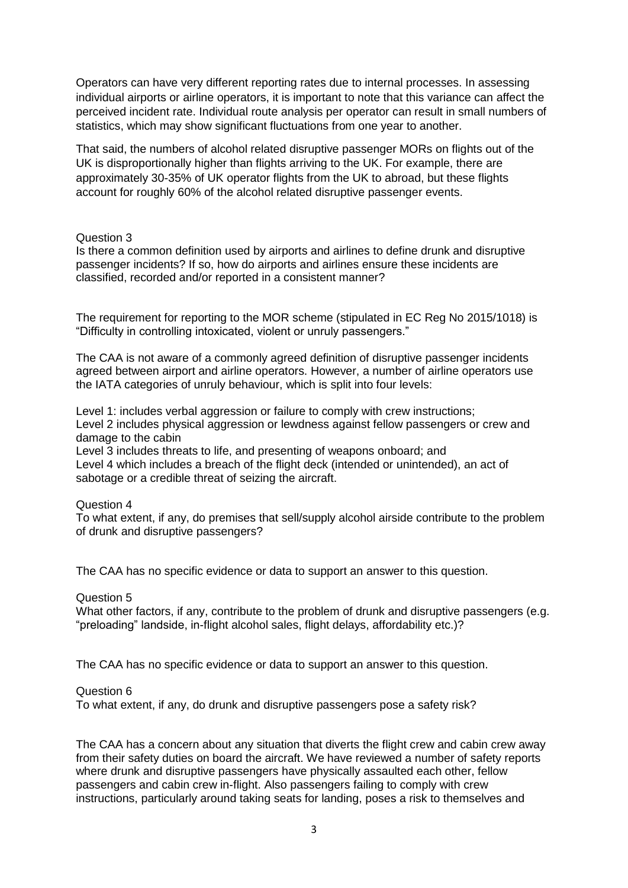Operators can have very different reporting rates due to internal processes. In assessing individual airports or airline operators, it is important to note that this variance can affect the perceived incident rate. Individual route analysis per operator can result in small numbers of statistics, which may show significant fluctuations from one year to another.

That said, the numbers of alcohol related disruptive passenger MORs on flights out of the UK is disproportionally higher than flights arriving to the UK. For example, there are approximately 30-35% of UK operator flights from the UK to abroad, but these flights account for roughly 60% of the alcohol related disruptive passenger events.

## Question 3

Is there a common definition used by airports and airlines to define drunk and disruptive passenger incidents? If so, how do airports and airlines ensure these incidents are classified, recorded and/or reported in a consistent manner?

The requirement for reporting to the MOR scheme (stipulated in EC Reg No 2015/1018) is "Difficulty in controlling intoxicated, violent or unruly passengers."

The CAA is not aware of a commonly agreed definition of disruptive passenger incidents agreed between airport and airline operators. However, a number of airline operators use the IATA categories of unruly behaviour, which is split into four levels:

Level 1: includes verbal aggression or failure to comply with crew instructions; Level 2 includes physical aggression or lewdness against fellow passengers or crew and damage to the cabin

Level 3 includes threats to life, and presenting of weapons onboard; and Level 4 which includes a breach of the flight deck (intended or unintended), an act of sabotage or a credible threat of seizing the aircraft.

## Question 4

To what extent, if any, do premises that sell/supply alcohol airside contribute to the problem of drunk and disruptive passengers?

The CAA has no specific evidence or data to support an answer to this question.

#### Question 5

What other factors, if any, contribute to the problem of drunk and disruptive passengers (e.g. "preloading" landside, in-flight alcohol sales, flight delays, affordability etc.)?

The CAA has no specific evidence or data to support an answer to this question.

#### Question 6

To what extent, if any, do drunk and disruptive passengers pose a safety risk?

The CAA has a concern about any situation that diverts the flight crew and cabin crew away from their safety duties on board the aircraft. We have reviewed a number of safety reports where drunk and disruptive passengers have physically assaulted each other, fellow passengers and cabin crew in-flight. Also passengers failing to comply with crew instructions, particularly around taking seats for landing, poses a risk to themselves and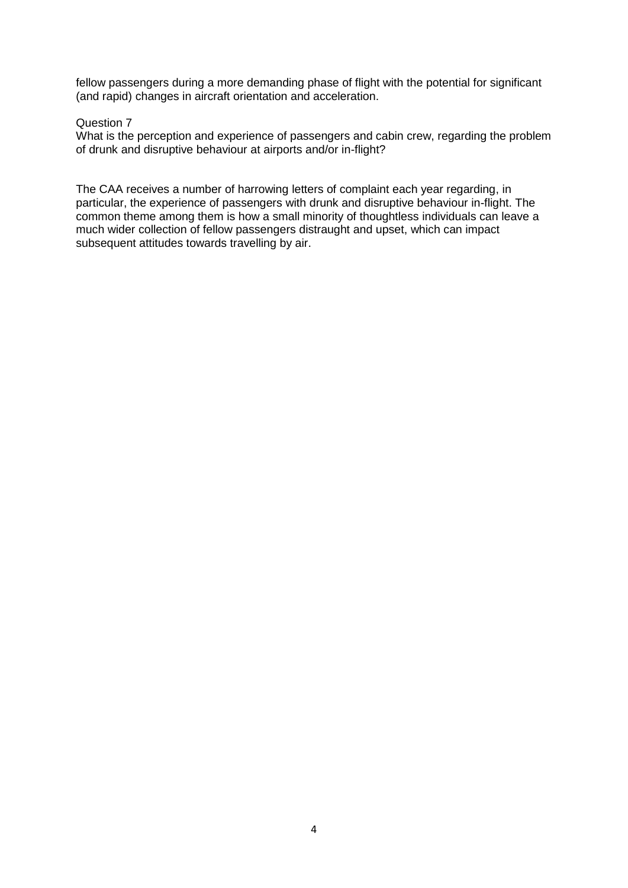fellow passengers during a more demanding phase of flight with the potential for significant (and rapid) changes in aircraft orientation and acceleration.

## Question 7

What is the perception and experience of passengers and cabin crew, regarding the problem of drunk and disruptive behaviour at airports and/or in-flight?

The CAA receives a number of harrowing letters of complaint each year regarding, in particular, the experience of passengers with drunk and disruptive behaviour in-flight. The common theme among them is how a small minority of thoughtless individuals can leave a much wider collection of fellow passengers distraught and upset, which can impact subsequent attitudes towards travelling by air.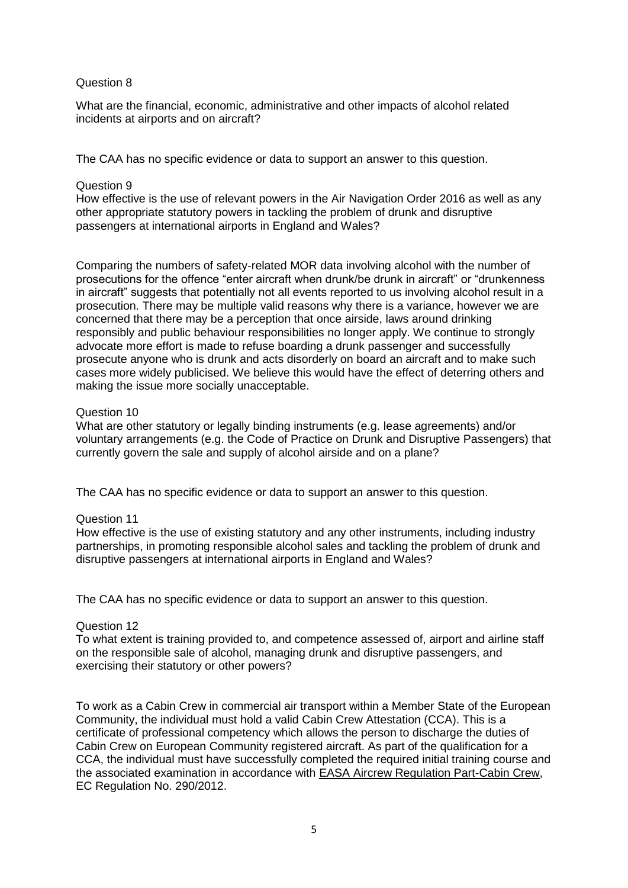## Question 8

What are the financial, economic, administrative and other impacts of alcohol related incidents at airports and on aircraft?

The CAA has no specific evidence or data to support an answer to this question.

## Question 9

How effective is the use of relevant powers in the Air Navigation Order 2016 as well as any other appropriate statutory powers in tackling the problem of drunk and disruptive passengers at international airports in England and Wales?

Comparing the numbers of safety-related MOR data involving alcohol with the number of prosecutions for the offence "enter aircraft when drunk/be drunk in aircraft" or "drunkenness in aircraft" suggests that potentially not all events reported to us involving alcohol result in a prosecution. There may be multiple valid reasons why there is a variance, however we are concerned that there may be a perception that once airside, laws around drinking responsibly and public behaviour responsibilities no longer apply. We continue to strongly advocate more effort is made to refuse boarding a drunk passenger and successfully prosecute anyone who is drunk and acts disorderly on board an aircraft and to make such cases more widely publicised. We believe this would have the effect of deterring others and making the issue more socially unacceptable.

## Question 10

What are other statutory or legally binding instruments (e.g. lease agreements) and/or voluntary arrangements (e.g. the Code of Practice on Drunk and Disruptive Passengers) that currently govern the sale and supply of alcohol airside and on a plane?

The CAA has no specific evidence or data to support an answer to this question.

## Question 11

How effective is the use of existing statutory and any other instruments, including industry partnerships, in promoting responsible alcohol sales and tackling the problem of drunk and disruptive passengers at international airports in England and Wales?

The CAA has no specific evidence or data to support an answer to this question.

## Question 12

To what extent is training provided to, and competence assessed of, airport and airline staff on the responsible sale of alcohol, managing drunk and disruptive passengers, and exercising their statutory or other powers?

To work as a Cabin Crew in commercial air transport within a Member State of the European Community, the individual must hold a valid Cabin Crew Attestation (CCA). This is a certificate of professional competency which allows the person to discharge the duties of Cabin Crew on European Community registered aircraft. As part of the qualification for a CCA, the individual must have successfully completed the required initial training course and the associated examination in accordance with EASA [Aircrew Regulation Part-Cabin Cr](http://easa.europa.eu/regulations/regulations-structure.php)ew, EC Regulation No. 290/2012.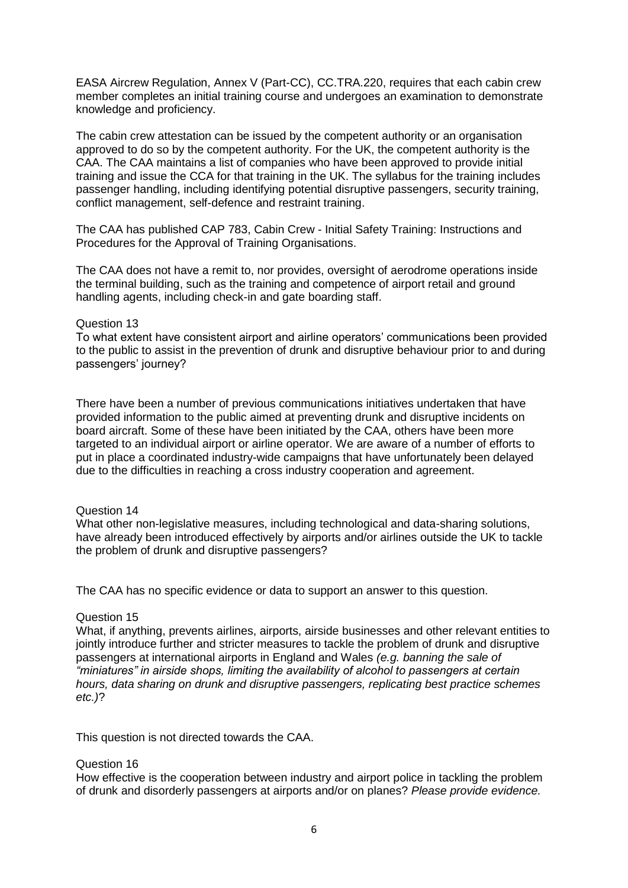EASA Aircrew Regulation, Annex V (Part-CC), CC.TRA.220, requires that each cabin crew member completes an initial training course and undergoes an examination to demonstrate knowledge and proficiency.

The cabin crew attestation can be issued by the competent authority or an organisation approved to do so by the competent authority. For the UK, the competent authority is the CAA. The CAA maintains a list of companies who have been approved to provide initial training and issue the CCA for that training in the UK. The syllabus for the training includes passenger handling, including identifying potential disruptive passengers, security training, conflict management, self-defence and restraint training.

The CAA has published CAP 783, Cabin Crew - Initial Safety Training: Instructions and Procedures for the Approval of Training Organisations.

The CAA does not have a remit to, nor provides, oversight of aerodrome operations inside the terminal building, such as the training and competence of airport retail and ground handling agents, including check-in and gate boarding staff.

#### Question 13

To what extent have consistent airport and airline operators' communications been provided to the public to assist in the prevention of drunk and disruptive behaviour prior to and during passengers' journey?

There have been a number of previous communications initiatives undertaken that have provided information to the public aimed at preventing drunk and disruptive incidents on board aircraft. Some of these have been initiated by the CAA, others have been more targeted to an individual airport or airline operator. We are aware of a number of efforts to put in place a coordinated industry-wide campaigns that have unfortunately been delayed due to the difficulties in reaching a cross industry cooperation and agreement.

#### Question 14

What other non-legislative measures, including technological and data-sharing solutions, have already been introduced effectively by airports and/or airlines outside the UK to tackle the problem of drunk and disruptive passengers?

The CAA has no specific evidence or data to support an answer to this question.

## Question 15

What, if anything, prevents airlines, airports, airside businesses and other relevant entities to jointly introduce further and stricter measures to tackle the problem of drunk and disruptive passengers at international airports in England and Wales *(e.g. banning the sale of "miniatures" in airside shops, limiting the availability of alcohol to passengers at certain hours, data sharing on drunk and disruptive passengers, replicating best practice schemes etc.)*?

This question is not directed towards the CAA.

#### Question 16

How effective is the cooperation between industry and airport police in tackling the problem of drunk and disorderly passengers at airports and/or on planes? *Please provide evidence.*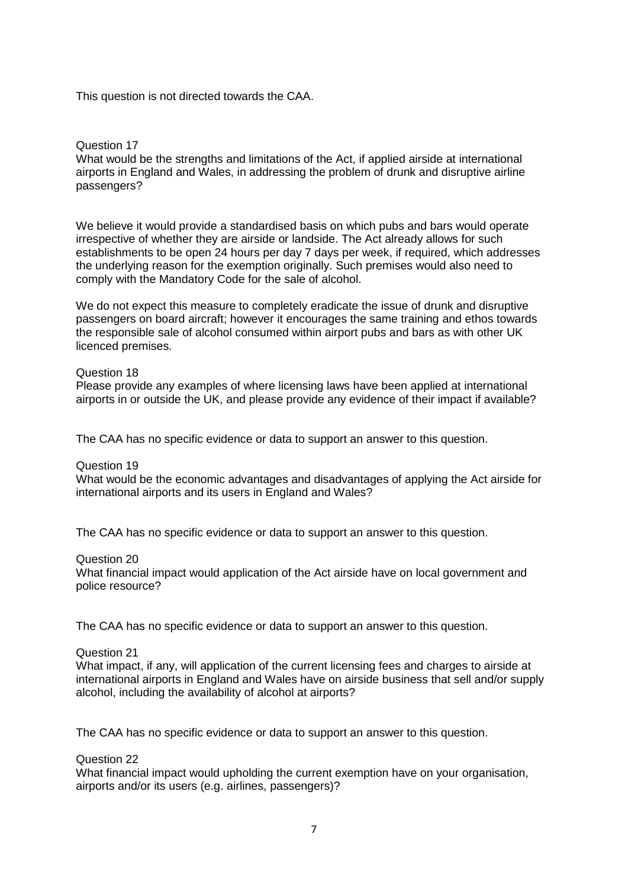This question is not directed towards the CAA.

## Question 17

What would be the strengths and limitations of the Act, if applied airside at international airports in England and Wales, in addressing the problem of drunk and disruptive airline passengers?

We believe it would provide a standardised basis on which pubs and bars would operate irrespective of whether they are airside or landside. The Act already allows for such establishments to be open 24 hours per day 7 days per week, if required, which addresses the underlying reason for the exemption originally. Such premises would also need to comply with the Mandatory Code for the sale of alcohol.

We do not expect this measure to completely eradicate the issue of drunk and disruptive passengers on board aircraft; however it encourages the same training and ethos towards the responsible sale of alcohol consumed within airport pubs and bars as with other UK licenced premises.

## Question 18

Please provide any examples of where licensing laws have been applied at international airports in or outside the UK, and please provide any evidence of their impact if available?

The CAA has no specific evidence or data to support an answer to this question.

Question 19

What would be the economic advantages and disadvantages of applying the Act airside for international airports and its users in England and Wales?

The CAA has no specific evidence or data to support an answer to this question.

Question 20

What financial impact would application of the Act airside have on local government and police resource?

The CAA has no specific evidence or data to support an answer to this question.

Question 21

What impact, if any, will application of the current licensing fees and charges to airside at international airports in England and Wales have on airside business that sell and/or supply alcohol, including the availability of alcohol at airports?

The CAA has no specific evidence or data to support an answer to this question.

Question 22

What financial impact would upholding the current exemption have on your organisation, airports and/or its users (e.g. airlines, passengers)?